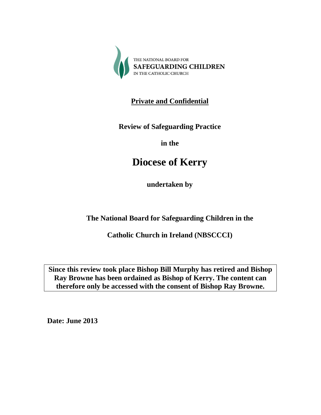

**Private and Confidential**

**Review of Safeguarding Practice**

**in the**

# **Diocese of Kerry**

**undertaken by**

**The National Board for Safeguarding Children in the**

**Catholic Church in Ireland (NBSCCCI)**

**Since this review took place Bishop Bill Murphy has retired and Bishop Ray Browne has been ordained as Bishop of Kerry. The content can therefore only be accessed with the consent of Bishop Ray Browne.**

**Date: June 2013**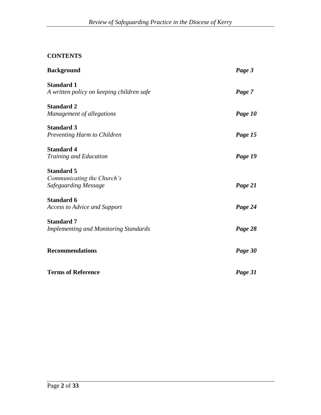# **CONTENTS**

| <b>Background</b>                                                       | Page 3  |
|-------------------------------------------------------------------------|---------|
| <b>Standard 1</b><br>A written policy on keeping children safe          | Page 7  |
| <b>Standard 2</b><br>Management of allegations                          | Page 10 |
| <b>Standard 3</b><br>Preventing Harm to Children                        | Page 15 |
| <b>Standard 4</b><br>Training and Education                             | Page 19 |
| <b>Standard 5</b><br>Communicating the Church's<br>Safeguarding Message | Page 21 |
| <b>Standard 6</b><br><b>Access to Advice and Support</b>                | Page 24 |
| <b>Standard 7</b><br><b>Implementing and Monitoring Standards</b>       | Page 28 |
| <b>Recommendations</b>                                                  | Page 30 |
| <b>Terms of Reference</b>                                               | Page 31 |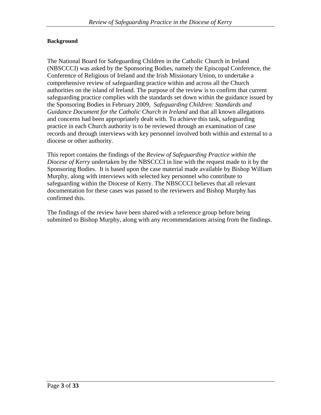#### **Background**

The National Board for Safeguarding Children in the Catholic Church in Ireland (NBSCCCI) was asked by the Sponsoring Bodies, namely the Episcopal Conference, the Conference of Religious of Ireland and the Irish Missionary Union, to undertake a comprehensive review of safeguarding practice within and across all the Church authorities on the island of Ireland. The purpose of the review is to confirm that current safeguarding practice complies with the standards set down within the guidance issued by the Sponsoring Bodies in February 2009, *Safeguarding Children: Standards and Guidance Document for the Catholic Church in Ireland* and that all known allegations and concerns had been appropriately dealt with. To achieve this task, safeguarding practice in each Church authority is to be reviewed through an examination of case records and through interviews with key personnel involved both within and external to a diocese or other authority.

This report contains the findings of the *Review of Safeguarding Practice within the Diocese of Kerry* undertaken by the NBSCCCI in line with the request made to it by the Sponsoring Bodies. It is based upon the case material made available by Bishop William Murphy, along with interviews with selected key personnel who contribute to safeguarding within the Diocese of Kerry. The NBSCCCI believes that all relevant documentation for these cases was passed to the reviewers and Bishop Murphy has confirmed this.

The findings of the review have been shared with a reference group before being submitted to Bishop Murphy, along with any recommendations arising from the findings.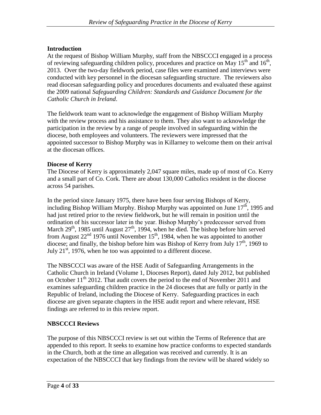## **Introduction**

At the request of Bishop William Murphy, staff from the NBSCCCI engaged in a process of reviewing safeguarding children policy, procedures and practice on May  $15<sup>th</sup>$  and  $16<sup>th</sup>$ , 2013. Over the two-day fieldwork period, case files were examined and interviews were conducted with key personnel in the diocesan safeguarding structure. The reviewers also read diocesan safeguarding policy and procedures documents and evaluated these against the 2009 national *Safeguarding Children: Standards and Guidance Document for the Catholic Church in Ireland*.

The fieldwork team want to acknowledge the engagement of Bishop William Murphy with the review process and his assistance to them. They also want to acknowledge the participation in the review by a range of people involved in safeguarding within the diocese, both employees and volunteers. The reviewers were impressed that the appointed successor to Bishop Murphy was in Killarney to welcome them on their arrival at the diocesan offices.

#### **Diocese of Kerry**

The Diocese of Kerry is approximately 2,047 square miles, made up of most of Co. Kerry and a small part of Co. Cork. There are about 130,000 Catholics resident in the diocese across 54 parishes.

In the period since January 1975, there have been four serving Bishops of Kerry, including Bishop William Murphy. Bishop Murphy was appointed on June  $17<sup>th</sup>$ , 1995 and had just retired prior to the review fieldwork, but he will remain in position until the ordination of his successor later in the year. Bishop Murphy's predecessor served from March  $29<sup>th</sup>$ , 1985 until August  $27<sup>th</sup>$ , 1994, when he died. The bishop before him served from August  $22<sup>nd</sup>$  1976 until November 15<sup>th</sup>, 1984, when he was appointed to another diocese; and finally, the bishop before him was Bishop of Kerry from July 17<sup>th</sup>, 1969 to July  $21<sup>st</sup>$ , 1976, when he too was appointed to a different diocese.

The NBSCCCI was aware of the HSE Audit of Safeguarding Arrangements in the Catholic Church in Ireland (Volume 1, Dioceses Report), dated July 2012, but published on October 11<sup>th</sup> 2012. That audit covers the period to the end of November 2011 and examines safeguarding children practice in the 24 dioceses that are fully or partly in the Republic of Ireland, including the Diocese of Kerry. Safeguarding practices in each diocese are given separate chapters in the HSE audit report and where relevant, HSE findings are referred to in this review report.

## **NBSCCCI Reviews**

The purpose of this NBSCCCI review is set out within the Terms of Reference that are appended to this report. It seeks to examine how practice conforms to expected standards in the Church, both at the time an allegation was received and currently. It is an expectation of the NBSCCCI that key findings from the review will be shared widely so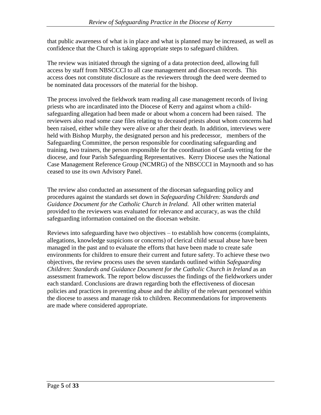that public awareness of what is in place and what is planned may be increased, as well as confidence that the Church is taking appropriate steps to safeguard children.

The review was initiated through the signing of a data protection deed, allowing full access by staff from NBSCCCI to all case management and diocesan records. This access does not constitute disclosure as the reviewers through the deed were deemed to be nominated data processors of the material for the bishop.

The process involved the fieldwork team reading all case management records of living priests who are incardinated into the Diocese of Kerry and against whom a childsafeguarding allegation had been made or about whom a concern had been raised. The reviewers also read some case files relating to deceased priests about whom concerns had been raised, either while they were alive or after their death. In addition, interviews were held with Bishop Murphy, the designated person and his predecessor, members of the Safeguarding Committee, the person responsible for coordinating safeguarding and training, two trainers, the person responsible for the coordination of Garda vetting for the diocese, and four Parish Safeguarding Representatives. Kerry Diocese uses the National Case Management Reference Group (NCMRG) of the NBSCCCI in Maynooth and so has ceased to use its own Advisory Panel.

The review also conducted an assessment of the diocesan safeguarding policy and procedures against the standards set down in *Safeguarding Children: Standards and Guidance Document for the Catholic Church in Ireland.* All other written material provided to the reviewers was evaluated for relevance and accuracy, as was the child safeguarding information contained on the diocesan website.

Reviews into safeguarding have two objectives – to establish how concerns (complaints, allegations, knowledge suspicions or concerns) of clerical child sexual abuse have been managed in the past and to evaluate the efforts that have been made to create safe environments for children to ensure their current and future safety. To achieve these two objectives, the review process uses the seven standards outlined within *Safeguarding Children: Standards and Guidance Document for the Catholic Church in Ireland* as an assessment framework. The report below discusses the findings of the fieldworkers under each standard. Conclusions are drawn regarding both the effectiveness of diocesan policies and practices in preventing abuse and the ability of the relevant personnel within the diocese to assess and manage risk to children. Recommendations for improvements are made where considered appropriate.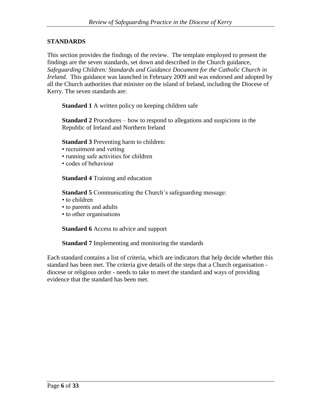#### **STANDARDS**

This section provides the findings of the review. The template employed to present the findings are the seven standards, set down and described in the Church guidance, *Safeguarding Children: Standards and Guidance Document for the Catholic Church in Ireland.* This guidance was launched in February 2009 and was endorsed and adopted by all the Church authorities that minister on the island of Ireland, including the Diocese of Kerry. The seven standards are:

**Standard 1** A written policy on keeping children safe

**Standard 2** Procedures – how to respond to allegations and suspicions in the Republic of Ireland and Northern Ireland

**Standard 3** Preventing harm to children:

- recruitment and vetting
- running safe activities for children
- codes of behaviour

**Standard 4** Training and education

**Standard 5** Communicating the Church's safeguarding message:

- to children
- to parents and adults
- to other organisations

**Standard 6** Access to advice and support

**Standard 7** Implementing and monitoring the standards

Each standard contains a list of criteria, which are indicators that help decide whether this standard has been met. The criteria give details of the steps that a Church organisation diocese or religious order - needs to take to meet the standard and ways of providing evidence that the standard has been met.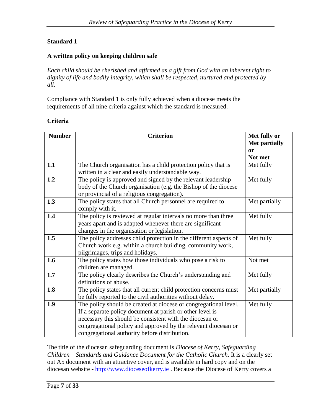#### **A written policy on keeping children safe**

*Each child should be cherished and affirmed as a gift from God with an inherent right to dignity of life and bodily integrity, which shall be respected, nurtured and protected by all.*

Compliance with Standard 1 is only fully achieved when a diocese meets the requirements of all nine criteria against which the standard is measured.

#### **Criteria**

| <b>Number</b> | <b>Criterion</b>                                                                                                                                                                                                                                                                                             | Met fully or               |
|---------------|--------------------------------------------------------------------------------------------------------------------------------------------------------------------------------------------------------------------------------------------------------------------------------------------------------------|----------------------------|
|               |                                                                                                                                                                                                                                                                                                              | <b>Met partially</b><br>or |
|               |                                                                                                                                                                                                                                                                                                              | Not met                    |
| 1.1           | The Church organisation has a child protection policy that is<br>written in a clear and easily understandable way.                                                                                                                                                                                           | Met fully                  |
| 1.2           | The policy is approved and signed by the relevant leadership<br>body of the Church organisation (e.g. the Bishop of the diocese<br>or provincial of a religious congregation).                                                                                                                               | Met fully                  |
| 1.3           | The policy states that all Church personnel are required to<br>comply with it.                                                                                                                                                                                                                               | Met partially              |
| 1.4           | The policy is reviewed at regular intervals no more than three<br>years apart and is adapted whenever there are significant<br>changes in the organisation or legislation.                                                                                                                                   | Met fully                  |
| 1.5           | The policy addresses child protection in the different aspects of<br>Church work e.g. within a church building, community work,<br>pilgrimages, trips and holidays.                                                                                                                                          | Met fully                  |
| 1.6           | The policy states how those individuals who pose a risk to<br>children are managed.                                                                                                                                                                                                                          | Not met                    |
| 1.7           | The policy clearly describes the Church's understanding and<br>definitions of abuse.                                                                                                                                                                                                                         | Met fully                  |
| 1.8           | The policy states that all current child protection concerns must<br>be fully reported to the civil authorities without delay.                                                                                                                                                                               | Met partially              |
| 1.9           | The policy should be created at diocese or congregational level.<br>If a separate policy document at parish or other level is<br>necessary this should be consistent with the diocesan or<br>congregational policy and approved by the relevant diocesan or<br>congregational authority before distribution. | Met fully                  |

The title of the diocesan safeguarding document is *Diocese of Kerry, Safeguarding Children – Standards and Guidance Document for the Catholic Church*. It is a clearly set out A5 document with an attractive cover, and is available in hard copy and on the diocesan website - [http://www.dioceseofkerry.ie](http://www.dioceseofkerry.ie/) . Because the Diocese of Kerry covers a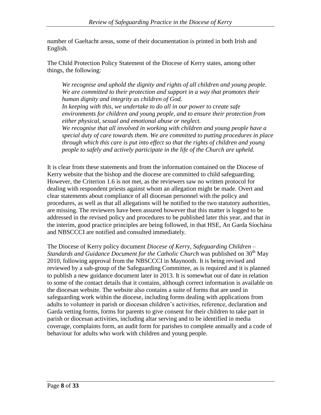number of Gaeltacht areas, some of their documentation is printed in both Irish and English.

The Child Protection Policy Statement of the Diocese of Kerry states, among other things, the following:

*We recognise and uphold the dignity and rights of all children and young people. We are committed to their protection and support in a way that promotes their human dignity and integrity as children of God. In keeping with this, we undertake to do all in our power to create safe environments for children and young people, and to ensure their protection from either physical, sexual and emotional abuse or neglect. We recognise that all involved in working with children and young people have a special duty of care towards them. We are committed to putting procedures in place* 

*through which this care is put into effect so that the rights of children and young people to safely and actively participate in the life of the Church are upheld.*

It is clear from these statements and from the information contained on the Diocese of Kerry website that the bishop and the diocese are committed to child safeguarding. However, the Criterion 1.6 is not met, as the reviewers saw no written protocol for dealing with respondent priests against whom an allegation might be made. Overt and clear statements about compliance of all diocesan personnel with the policy and procedures, as well as that all allegations will be notified to the two statutory authorities, are missing. The reviewers have been assured however that this matter is logged to be addressed in the revised policy and procedures to be published later this year, and that in the interim, good practice principles are being followed, in that HSE, An Garda Síochána and NBSCCCI are notified and consulted immediately.

The Diocese of Kerry policy document *Diocese of Kerry, Safeguarding Children – Standards and Guidance Document for the Catholic Church* was published on 30<sup>th</sup> May 2010, following approval from the NBSCCCI in Maynooth. It is being revised and reviewed by a sub-group of the Safeguarding Committee, as is required and it is planned to publish a new guidance document later in 2013. It is somewhat out of date in relation to some of the contact details that it contains, although correct information is available on the diocesan website. The website also contains a suite of forms that are used in safeguarding work within the diocese, including forms dealing with applications from adults to volunteer in parish or diocesan children's activities, reference, declaration and Garda vetting forms, forms for parents to give consent for their children to take part in parish or diocesan activities, including altar serving and to be identified in media coverage, complaints form, an audit form for parishes to complete annually and a code of behaviour for adults who work with children and young people.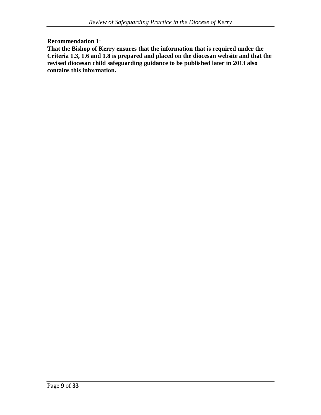#### **Recommendation 1**:

**That the Bishop of Kerry ensures that the information that is required under the Criteria 1.3, 1.6 and 1.8 is prepared and placed on the diocesan website and that the revised diocesan child safeguarding guidance to be published later in 2013 also contains this information.**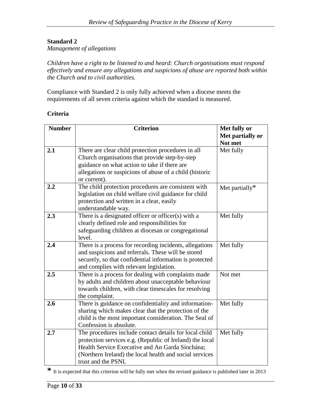*Management of allegations*

*Children have a right to be listened to and heard: Church organisations must respond effectively and ensure any allegations and suspicions of abuse are reported both within the Church and to civil authorities.*

Compliance with Standard 2 is only fully achieved when a diocese meets the requirements of all seven criteria against which the standard is measured.

#### **Criteria**

| <b>Number</b> | <b>Criterion</b>                                         | Met fully or      |
|---------------|----------------------------------------------------------|-------------------|
|               |                                                          | Met partially or  |
|               |                                                          | Not met           |
| 2.1           | There are clear child protection procedures in all       | Met fully         |
|               | Church organisations that provide step-by-step           |                   |
|               | guidance on what action to take if there are             |                   |
|               | allegations or suspicions of abuse of a child (historic  |                   |
|               | or current).                                             |                   |
| 2.2           | The child protection procedures are consistent with      | Met partially $*$ |
|               | legislation on child welfare civil guidance for child    |                   |
|               | protection and written in a clear, easily                |                   |
|               | understandable way.                                      |                   |
| 2.3           | There is a designated officer or officer(s) with a       | Met fully         |
|               | clearly defined role and responsibilities for            |                   |
|               | safeguarding children at diocesan or congregational      |                   |
|               | level.                                                   |                   |
| 2.4           | There is a process for recording incidents, allegations  | Met fully         |
|               | and suspicions and referrals. These will be stored       |                   |
|               | securely, so that confidential information is protected  |                   |
|               | and complies with relevant legislation.                  |                   |
| 2.5           | There is a process for dealing with complaints made      | Not met           |
|               | by adults and children about unacceptable behaviour      |                   |
|               | towards children, with clear timescales for resolving    |                   |
|               | the complaint.                                           |                   |
| 2.6           | There is guidance on confidentiality and information-    | Met fully         |
|               | sharing which makes clear that the protection of the     |                   |
|               | child is the most important consideration. The Seal of   |                   |
|               | Confession is absolute.                                  |                   |
| 2.7           | The procedures include contact details for local child   | Met fully         |
|               | protection services e.g. (Republic of Ireland) the local |                   |
|               | Health Service Executive and An Garda Síochána;          |                   |
|               | (Northern Ireland) the local health and social services  |                   |
|               | trust and the PSNI.                                      |                   |

**\*** It is expected that this criterion will be fully met when the revised guidance is published later in 2013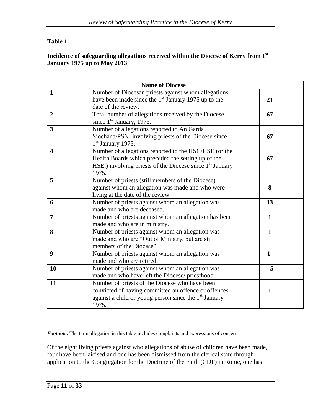## **Table 1**

## **Incidence of safeguarding allegations received within the Diocese of Kerry from 1st January 1975 up to May 2013**

|                         | <b>Name of Diocese</b>                                                                                                                                                                       |              |
|-------------------------|----------------------------------------------------------------------------------------------------------------------------------------------------------------------------------------------|--------------|
| $\mathbf{1}$            | Number of Diocesan priests against whom allegations<br>have been made since the $1st$ January 1975 up to the<br>date of the review.                                                          | 21           |
| $\overline{2}$          | Total number of allegations received by the Diocese<br>since $1st$ January, 1975.                                                                                                            | 67           |
| $\overline{\mathbf{3}}$ | Number of allegations reported to An Garda<br>Síochána/PSNI involving priests of the Diocese since<br>$1st$ January 1975.                                                                    | 67           |
| $\overline{\mathbf{4}}$ | Number of allegations reported to the HSC/HSE (or the<br>Health Boards which preceded the setting up of the<br>HSE,) involving priests of the Diocese since 1 <sup>st</sup> January<br>1975. | 67           |
| 5                       | Number of priests (still members of the Diocese)<br>against whom an allegation was made and who were<br>living at the date of the review.                                                    | 8            |
| 6                       | Number of priests against whom an allegation was<br>made and who are deceased.                                                                                                               | 13           |
| $\overline{7}$          | Number of priests against whom an allegation has been<br>made and who are in ministry.                                                                                                       | $\mathbf{1}$ |
| 8                       | Number of priests against whom an allegation was<br>made and who are "Out of Ministry, but are still<br>members of the Diocese".                                                             | $\mathbf{1}$ |
| 9                       | Number of priests against whom an allegation was<br>made and who are retired.                                                                                                                | $\mathbf{1}$ |
| 10                      | Number of priests against whom an allegation was<br>made and who have left the Diocese/ priesthood.                                                                                          | 5            |
| 11                      | Number of priests of the Diocese who have been<br>convicted of having committed an offence or offences<br>against a child or young person since the 1 <sup>st</sup> January<br>1975.         | 1            |

*Footnote*: The term allegation in this table includes complaints and expressions of concern

Of the eight living priests against who allegations of abuse of children have been made, four have been laicised and one has been dismissed from the clerical state through application to the Congregation for the Doctrine of the Faith (CDF) in Rome, one has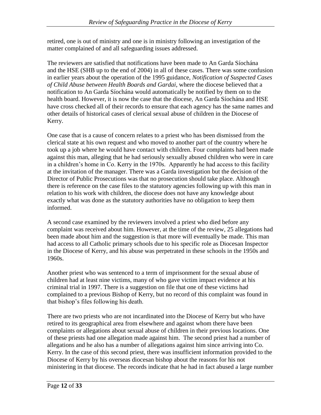retired, one is out of ministry and one is in ministry following an investigation of the matter complained of and all safeguarding issues addressed.

The reviewers are satisfied that notifications have been made to An Garda Síochána and the HSE (SHB up to the end of 2004) in all of these cases. There was some confusion in earlier years about the operation of the 1995 guidance, *Notification of Suspected Cases of Child Abuse between Health Boards and Gardai*, where the diocese believed that a notification to An Garda Síochána would automatically be notified by them on to the health board. However, it is now the case that the diocese, An Garda Síochána and HSE have cross checked all of their records to ensure that each agency has the same names and other details of historical cases of clerical sexual abuse of children in the Diocese of Kerry.

One case that is a cause of concern relates to a priest who has been dismissed from the clerical state at his own request and who moved to another part of the country where he took up a job where he would have contact with children. Four complaints had been made against this man, alleging that he had seriously sexually abused children who were in care in a children's home in Co. Kerry in the 1970s. Apparently he had access to this facility at the invitation of the manager. There was a Garda investigation but the decision of the Director of Public Prosecutions was that no prosecution should take place. Although there is reference on the case files to the statutory agencies following up with this man in relation to his work with children, the diocese does not have any knowledge about exactly what was done as the statutory authorities have no obligation to keep them informed.

A second case examined by the reviewers involved a priest who died before any complaint was received about him. However, at the time of the review, 25 allegations had been made about him and the suggestion is that more will eventually be made. This man had access to all Catholic primary schools due to his specific role as Diocesan Inspector in the Diocese of Kerry, and his abuse was perpetrated in these schools in the 1950s and 1960s.

Another priest who was sentenced to a term of imprisonment for the sexual abuse of children had at least nine victims, many of who gave victim impact evidence at his criminal trial in 1997. There is a suggestion on file that one of these victims had complained to a previous Bishop of Kerry, but no record of this complaint was found in that bishop's files following his death.

There are two priests who are not incardinated into the Diocese of Kerry but who have retired to its geographical area from elsewhere and against whom there have been complaints or allegations about sexual abuse of children in their previous locations. One of these priests had one allegation made against him. The second priest had a number of allegations and he also has a number of allegations against him since arriving into Co. Kerry. In the case of this second priest, there was insufficient information provided to the Diocese of Kerry by his overseas diocesan bishop about the reasons for his not ministering in that diocese. The records indicate that he had in fact abused a large number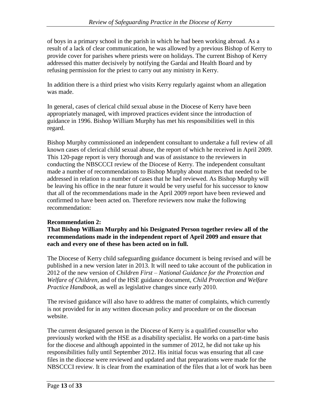of boys in a primary school in the parish in which he had been working abroad. As a result of a lack of clear communication, he was allowed by a previous Bishop of Kerry to provide cover for parishes where priests were on holidays. The current Bishop of Kerry addressed this matter decisively by notifying the Gardai and Health Board and by refusing permission for the priest to carry out any ministry in Kerry.

In addition there is a third priest who visits Kerry regularly against whom an allegation was made.

In general, cases of clerical child sexual abuse in the Diocese of Kerry have been appropriately managed, with improved practices evident since the introduction of guidance in 1996. Bishop William Murphy has met his responsibilities well in this regard.

Bishop Murphy commissioned an independent consultant to undertake a full review of all known cases of clerical child sexual abuse, the report of which he received in April 2009. This 120-page report is very thorough and was of assistance to the reviewers in conducting the NBSCCCI review of the Diocese of Kerry. The independent consultant made a number of recommendations to Bishop Murphy about matters that needed to be addressed in relation to a number of cases that he had reviewed. As Bishop Murphy will be leaving his office in the near future it would be very useful for his successor to know that all of the recommendations made in the April 2009 report have been reviewed and confirmed to have been acted on. Therefore reviewers now make the following recommendation:

## **Recommendation 2:**

**That Bishop William Murphy and his Designated Person together review all of the recommendations made in the independent report of April 2009 and ensure that each and every one of these has been acted on in full.**

The Diocese of Kerry child safeguarding guidance document is being revised and will be published in a new version later in 2013. It will need to take account of the publication in 2012 of the new version of *Children First – National Guidance for the Protection and Welfare of Children*, and of the HSE guidance document, *Child Protection and Welfare Practice Handbook,* as well as legislative changes since early 2010.

The revised guidance will also have to address the matter of complaints, which currently is not provided for in any written diocesan policy and procedure or on the diocesan website.

The current designated person in the Diocese of Kerry is a qualified counsellor who previously worked with the HSE as a disability specialist. He works on a part-time basis for the diocese and although appointed in the summer of 2012, he did not take up his responsibilities fully until September 2012. His initial focus was ensuring that all case files in the diocese were reviewed and updated and that preparations were made for the NBSCCCI review. It is clear from the examination of the files that a lot of work has been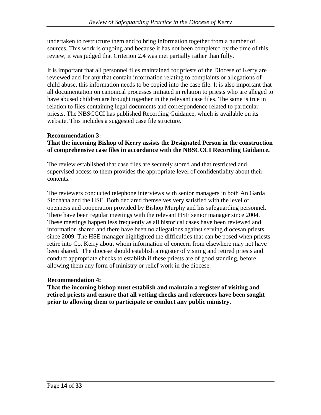undertaken to restructure them and to bring information together from a number of sources. This work is ongoing and because it has not been completed by the time of this review, it was judged that Criterion 2.4 was met partially rather than fully.

It is important that all personnel files maintained for priests of the Diocese of Kerry are reviewed and for any that contain information relating to complaints or allegations of child abuse, this information needs to be copied into the case file. It is also important that all documentation on canonical processes initiated in relation to priests who are alleged to have abused children are brought together in the relevant case files. The same is true in relation to files containing legal documents and correspondence related to particular priests. The NBSCCCI has published Recording Guidance, which is available on its website. This includes a suggested case file structure.

## **Recommendation 3:**

#### **That the incoming Bishop of Kerry assists the Designated Person in the construction of comprehensive case files in accordance with the NBSCCCI Recording Guidance.**

The review established that case files are securely stored and that restricted and supervised access to them provides the appropriate level of confidentiality about their contents.

The reviewers conducted telephone interviews with senior managers in both An Garda Síochána and the HSE. Both declared themselves very satisfied with the level of openness and cooperation provided by Bishop Murphy and his safeguarding personnel. There have been regular meetings with the relevant HSE senior manager since 2004. These meetings happen less frequently as all historical cases have been reviewed and information shared and there have been no allegations against serving diocesan priests since 2009. The HSE manager highlighted the difficulties that can be posed when priests retire into Co. Kerry about whom information of concern from elsewhere may not have been shared. The diocese should establish a register of visiting and retired priests and conduct appropriate checks to establish if these priests are of good standing, before allowing them any form of ministry or relief work in the diocese.

#### **Recommendation 4:**

**That the incoming bishop must establish and maintain a register of visiting and retired priests and ensure that all vetting checks and references have been sought prior to allowing them to participate or conduct any public ministry.**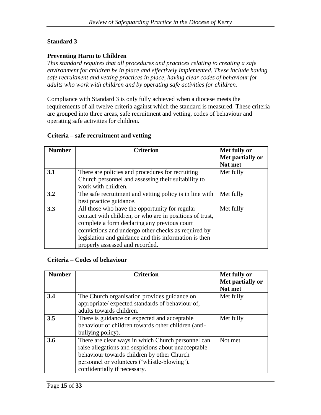#### **Preventing Harm to Children**

*This standard requires that all procedures and practices relating to creating a safe environment for children be in place and effectively implemented. These include having safe recruitment and vetting practices in place, having clear codes of behaviour for adults who work with children and by operating safe activities for children.*

Compliance with Standard 3 is only fully achieved when a diocese meets the requirements of all twelve criteria against which the standard is measured. These criteria are grouped into three areas, safe recruitment and vetting, codes of behaviour and operating safe activities for children.

#### **Criteria – safe recruitment and vetting**

| <b>Number</b> | <b>Criterion</b>                                         | Met fully or<br>Met partially or |
|---------------|----------------------------------------------------------|----------------------------------|
|               |                                                          | Not met                          |
| 3.1           | There are policies and procedures for recruiting         | Met fully                        |
|               | Church personnel and assessing their suitability to      |                                  |
|               | work with children.                                      |                                  |
| 3.2           | The safe recruitment and vetting policy is in line with  | Met fully                        |
|               | best practice guidance.                                  |                                  |
| 3.3           | All those who have the opportunity for regular           | Met fully                        |
|               | contact with children, or who are in positions of trust, |                                  |
|               | complete a form declaring any previous court             |                                  |
|               | convictions and undergo other checks as required by      |                                  |
|               | legislation and guidance and this information is then    |                                  |
|               | properly assessed and recorded.                          |                                  |

#### **Criteria – Codes of behaviour**

| <b>Number</b> | <b>Criterion</b>                                    | Met fully or     |
|---------------|-----------------------------------------------------|------------------|
|               |                                                     | Met partially or |
|               |                                                     | Not met          |
| 3.4           | The Church organisation provides guidance on        | Met fully        |
|               | appropriate/ expected standards of behaviour of,    |                  |
|               | adults towards children.                            |                  |
| 3.5           | There is guidance on expected and acceptable        | Met fully        |
|               | behaviour of children towards other children (anti- |                  |
|               | bullying policy).                                   |                  |
| 3.6           | There are clear ways in which Church personnel can  | Not met          |
|               | raise allegations and suspicions about unacceptable |                  |
|               | behaviour towards children by other Church          |                  |
|               | personnel or volunteers ('whistle-blowing'),        |                  |
|               | confidentially if necessary.                        |                  |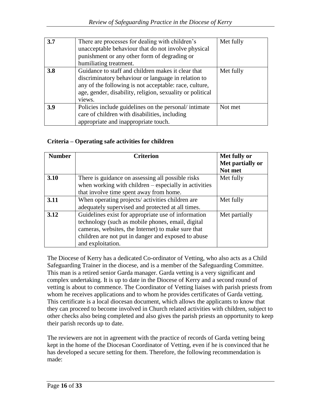| 3.7 | There are processes for dealing with children's<br>unacceptable behaviour that do not involve physical<br>punishment or any other form of degrading or<br>humiliating treatment.                                                           | Met fully |
|-----|--------------------------------------------------------------------------------------------------------------------------------------------------------------------------------------------------------------------------------------------|-----------|
| 3.8 | Guidance to staff and children makes it clear that<br>discriminatory behaviour or language in relation to<br>any of the following is not acceptable: race, culture,<br>age, gender, disability, religion, sexuality or political<br>views. | Met fully |
| 3.9 | Policies include guidelines on the personal/intimate<br>care of children with disabilities, including<br>appropriate and inappropriate touch.                                                                                              | Not met   |

#### **Criteria – Operating safe activities for children**

| <b>Number</b> | <b>Criterion</b>                                        | Met fully or     |
|---------------|---------------------------------------------------------|------------------|
|               |                                                         | Met partially or |
|               |                                                         | Not met          |
| 3.10          | There is guidance on assessing all possible risks       | Met fully        |
|               | when working with children $-$ especially in activities |                  |
|               | that involve time spent away from home.                 |                  |
| 3.11          | When operating projects/activities children are         | Met fully        |
|               | adequately supervised and protected at all times.       |                  |
| 3.12          | Guidelines exist for appropriate use of information     | Met partially    |
|               | technology (such as mobile phones, email, digital       |                  |
|               | cameras, websites, the Internet) to make sure that      |                  |
|               | children are not put in danger and exposed to abuse     |                  |
|               | and exploitation.                                       |                  |

The Diocese of Kerry has a dedicated Co-ordinator of Vetting, who also acts as a Child Safeguarding Trainer in the diocese, and is a member of the Safeguarding Committee. This man is a retired senior Garda manager. Garda vetting is a very significant and complex undertaking. It is up to date in the Diocese of Kerry and a second round of vetting is about to commence. The Coordinator of Vetting liaises with parish priests from whom he receives applications and to whom he provides certificates of Garda vetting. This certificate is a local diocesan document, which allows the applicants to know that they can proceed to become involved in Church related activities with children, subject to other checks also being completed and also gives the parish priests an opportunity to keep their parish records up to date.

The reviewers are not in agreement with the practice of records of Garda vetting being kept in the home of the Diocesan Coordinator of Vetting, even if he is convinced that he has developed a secure setting for them. Therefore, the following recommendation is made: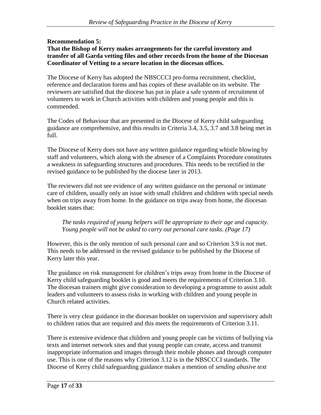#### **Recommendation 5: That the Bishop of Kerry makes arrangements for the careful inventory and transfer of all Garda vetting files and other records from the home of the Diocesan Coordinator of Vetting to a secure location in the diocesan offices.**

The Diocese of Kerry has adopted the NBSCCCI pro-forma recruitment, checklist, reference and declaration forms and has copies of these available on its website. The reviewers are satisfied that the diocese has put in place a safe system of recruitment of volunteers to work in Church activities with children and young people and this is commended.

The Codes of Behaviour that are presented in the Diocese of Kerry child safeguarding guidance are comprehensive, and this results in Criteria 3.4, 3.5, 3.7 and 3.8 being met in full.

The Diocese of Kerry does not have any written guidance regarding whistle blowing by staff and volunteers, which along with the absence of a Complaints Procedure constitutes a weakness in safeguarding structures and procedures. This needs to be rectified in the revised guidance to be published by the diocese later in 2013.

The reviewers did not see evidence of any written guidance on the personal or intimate care of children, usually only an issue with small children and children with special needs when on trips away from home. In the guidance on trips away from home, the diocesan booklet states that:

*The tasks required of young helpers will be appropriate to their age and capacity. Young people will not be asked to carry out personal care tasks. (Page 17)*

However, this is the only mention of such personal care and so Criterion 3.9 is not met. This needs to be addressed in the revised guidance to be published by the Diocese of Kerry later this year.

The guidance on risk management for children's trips away from home in the Diocese of Kerry child safeguarding booklet is good and meets the requirements of Criterion 3.10. The diocesan trainers might give consideration to developing a programme to assist adult leaders and volunteers to assess risks in working with children and young people in Church related activities.

There is very clear guidance in the diocesan booklet on supervision and supervisory adult to children ratios that are required and this meets the requirements of Criterion 3.11.

There is extensive evidence that children and young people can be victims of bullying via texts and internet network sites and that young people can create, access and transmit inappropriate information and images through their mobile phones and through computer use. This is one of the reasons why Criterion 3.12 is in the NBSCCCI standards. The Diocese of Kerry child safeguarding guidance makes a mention of *sending abusive text*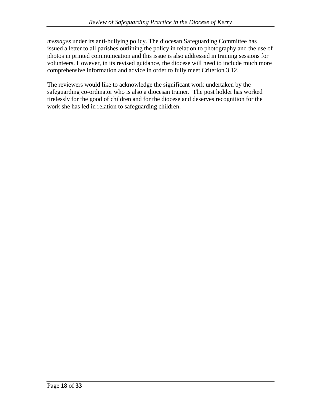*messages* under its anti-bullying policy. The diocesan Safeguarding Committee has issued a letter to all parishes outlining the policy in relation to photography and the use of photos in printed communication and this issue is also addressed in training sessions for volunteers. However, in its revised guidance, the diocese will need to include much more comprehensive information and advice in order to fully meet Criterion 3.12.

The reviewers would like to acknowledge the significant work undertaken by the safeguarding co-ordinator who is also a diocesan trainer. The post holder has worked tirelessly for the good of children and for the diocese and deserves recognition for the work she has led in relation to safeguarding children.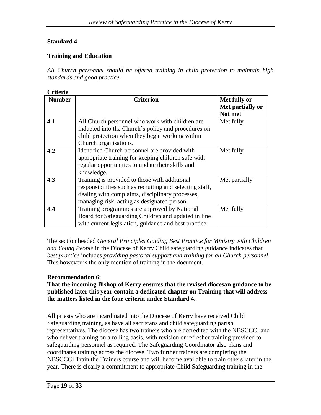#### **Training and Education**

*All Church personnel should be offered training in child protection to maintain high standards and good practice.*

| <b>Criteria</b> |                                                          |                  |
|-----------------|----------------------------------------------------------|------------------|
| <b>Number</b>   | <b>Criterion</b>                                         | Met fully or     |
|                 |                                                          | Met partially or |
|                 |                                                          | Not met          |
| 4.1             | All Church personnel who work with children are          | Met fully        |
|                 | inducted into the Church's policy and procedures on      |                  |
|                 | child protection when they begin working within          |                  |
|                 | Church organisations.                                    |                  |
| 4.2             | Identified Church personnel are provided with            | Met fully        |
|                 | appropriate training for keeping children safe with      |                  |
|                 | regular opportunities to update their skills and         |                  |
|                 | knowledge.                                               |                  |
| 4.3             | Training is provided to those with additional            | Met partially    |
|                 | responsibilities such as recruiting and selecting staff, |                  |
|                 | dealing with complaints, disciplinary processes,         |                  |
|                 | managing risk, acting as designated person.              |                  |
| 4.4             | Training programmes are approved by National             | Met fully        |
|                 | Board for Safeguarding Children and updated in line      |                  |
|                 | with current legislation, guidance and best practice.    |                  |

The section headed *General Principles Guiding Best Practice for Ministry with Children and Young People* in the Diocese of Kerry Child safeguarding guidance indicates that *best practice* includes *providing pastoral support and training for all Church personnel*. This however is the only mention of training in the document.

#### **Recommendation 6:**

#### **That the incoming Bishop of Kerry ensures that the revised diocesan guidance to be published later this year contain a dedicated chapter on Training that will address the matters listed in the four criteria under Standard 4.**

All priests who are incardinated into the Diocese of Kerry have received Child Safeguarding training, as have all sacristans and child safeguarding parish representatives. The diocese has two trainers who are accredited with the NBSCCCI and who deliver training on a rolling basis, with revision or refresher training provided to safeguarding personnel as required. The Safeguarding Coordinator also plans and coordinates training across the diocese. Two further trainers are completing the NBSCCCI Train the Trainers course and will become available to train others later in the year. There is clearly a commitment to appropriate Child Safeguarding training in the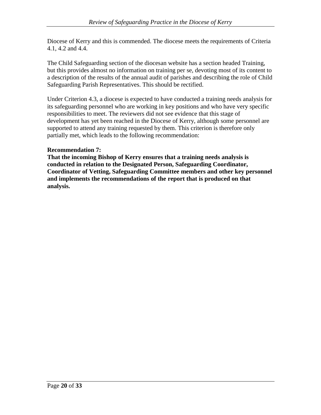Diocese of Kerry and this is commended. The diocese meets the requirements of Criteria 4.1, 4.2 and 4.4.

The Child Safeguarding section of the diocesan website has a section headed Training, but this provides almost no information on training per se, devoting most of its content to a description of the results of the annual audit of parishes and describing the role of Child Safeguarding Parish Representatives. This should be rectified.

Under Criterion 4.3, a diocese is expected to have conducted a training needs analysis for its safeguarding personnel who are working in key positions and who have very specific responsibilities to meet. The reviewers did not see evidence that this stage of development has yet been reached in the Diocese of Kerry, although some personnel are supported to attend any training requested by them. This criterion is therefore only partially met, which leads to the following recommendation:

#### **Recommendation 7:**

**That the incoming Bishop of Kerry ensures that a training needs analysis is conducted in relation to the Designated Person, Safeguarding Coordinator, Coordinator of Vetting, Safeguarding Committee members and other key personnel and implements the recommendations of the report that is produced on that analysis.**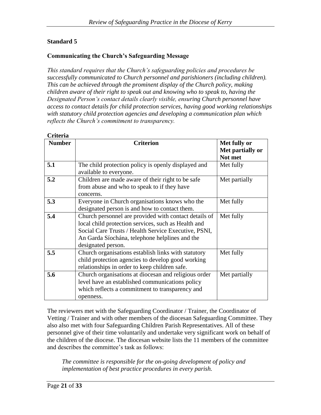#### **Communicating the Church's Safeguarding Message**

*This standard requires that the Church's safeguarding policies and procedures be successfully communicated to Church personnel and parishioners (including children). This can be achieved through the prominent display of the Church policy, making children aware of their right to speak out and knowing who to speak to, having the Designated Person's contact details clearly visible, ensuring Church personnel have access to contact details for child protection services, having good working relationships with statutory child protection agencies and developing a communication plan which reflects the Church's commitment to transparency.*

| <b>Number</b> | <b>Criterion</b>                                      | Met fully or     |
|---------------|-------------------------------------------------------|------------------|
|               |                                                       | Met partially or |
|               |                                                       | Not met          |
| 5.1           | The child protection policy is openly displayed and   | Met fully        |
|               | available to everyone.                                |                  |
| 5.2           | Children are made aware of their right to be safe     | Met partially    |
|               | from abuse and who to speak to if they have           |                  |
|               | concerns.                                             |                  |
| 5.3           | Everyone in Church organisations knows who the        | Met fully        |
|               | designated person is and how to contact them.         |                  |
| 5.4           | Church personnel are provided with contact details of | Met fully        |
|               | local child protection services, such as Health and   |                  |
|               | Social Care Trusts / Health Service Executive, PSNI,  |                  |
|               | An Garda Síochána, telephone helplines and the        |                  |
|               | designated person.                                    |                  |
| 5.5           | Church organisations establish links with statutory   | Met fully        |
|               | child protection agencies to develop good working     |                  |
|               | relationships in order to keep children safe.         |                  |
| 5.6           | Church organisations at diocesan and religious order  | Met partially    |
|               | level have an established communications policy       |                  |
|               | which reflects a commitment to transparency and       |                  |
|               | openness.                                             |                  |

The reviewers met with the Safeguarding Coordinator / Trainer, the Coordinator of Vetting / Trainer and with other members of the diocesan Safeguarding Committee. They also also met with four Safeguarding Children Parish Representatives. All of these personnel give of their time voluntarily and undertake very significant work on behalf of the children of the diocese. The diocesan website lists the 11 members of the committee and describes the committee's task as follows:

*The committee is responsible for the on-going development of policy and implementation of best practice procedures in every parish.*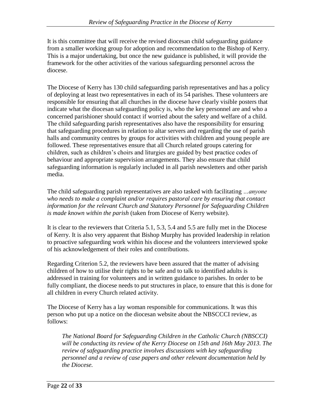It is this committee that will receive the revised diocesan child safeguarding guidance from a smaller working group for adoption and recommendation to the Bishop of Kerry. This is a major undertaking, but once the new guidance is published, it will provide the framework for the other activities of the various safeguarding personnel across the diocese.

The Diocese of Kerry has 130 child safeguarding parish representatives and has a policy of deploying at least two representatives in each of its 54 parishes. These volunteers are responsible for ensuring that all churches in the diocese have clearly visible posters that indicate what the diocesan safeguarding policy is, who the key personnel are and who a concerned parishioner should contact if worried about the safety and welfare of a child. The child safeguarding parish representatives also have the responsibility for ensuring that safeguarding procedures in relation to altar servers and regarding the use of parish halls and community centres by groups for activities with children and young people are followed. These representatives ensure that all Church related groups catering for children, such as children's choirs and liturgies are guided by best practice codes of behaviour and appropriate supervision arrangements. They also ensure that child safeguarding information is regularly included in all parish newsletters and other parish media.

The child safeguarding parish representatives are also tasked with facilitating *…anyone who needs to make a complaint and/or requires pastoral care by ensuring that contact information for the relevant Church and Statutory Personnel for Safeguarding Children is made known within the parish* (taken from Diocese of Kerry website).

It is clear to the reviewers that Criteria 5.1, 5.3, 5.4 and 5.5 are fully met in the Diocese of Kerry. It is also very apparent that Bishop Murphy has provided leadership in relation to proactive safeguarding work within his diocese and the volunteers interviewed spoke of his acknowledgement of their roles and contributions.

Regarding Criterion 5.2, the reviewers have been assured that the matter of advising children of how to utilise their rights to be safe and to talk to identified adults is addressed in training for volunteers and in written guidance to parishes. In order to be fully compliant, the diocese needs to put structures in place, to ensure that this is done for all children in every Church related activity.

The Diocese of Kerry has a lay woman responsible for communications. It was this person who put up a notice on the diocesan website about the NBSCCCI review, as follows:

*The National Board for Safeguarding Children in the Catholic Church (NBSCCI) will be conducting its review of the Kerry Diocese on 15th and 16th May 2013. The review of safeguarding practice involves discussions with key safeguarding personnel and a review of case papers and other relevant documentation held by the Diocese.*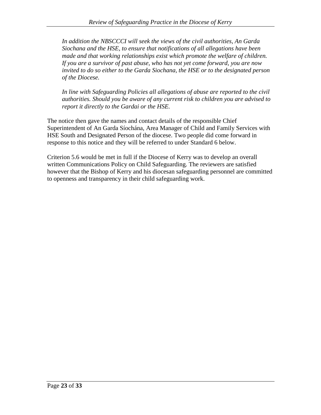*In addition the NBSCCCI will seek the views of the civil authorities, An Garda Siochana and the HSE, to ensure that notifications of all allegations have been made and that working relationships exist which promote the welfare of children. If you are a survivor of past abuse, who has not yet come forward, you are now invited to do so either to the Garda Siochana, the HSE or to the designated person of the Diocese.*

*In line with Safeguarding Policies all allegations of abuse are reported to the civil authorities. Should you be aware of any current risk to children you are advised to report it directly to the Gardai or the HSE.*

The notice then gave the names and contact details of the responsible Chief Superintendent of An Garda Síochána, Area Manager of Child and Family Services with HSE South and Designated Person of the diocese. Two people did come forward in response to this notice and they will be referred to under Standard 6 below.

Criterion 5.6 would be met in full if the Diocese of Kerry was to develop an overall written Communications Policy on Child Safeguarding. The reviewers are satisfied however that the Bishop of Kerry and his diocesan safeguarding personnel are committed to openness and transparency in their child safeguarding work.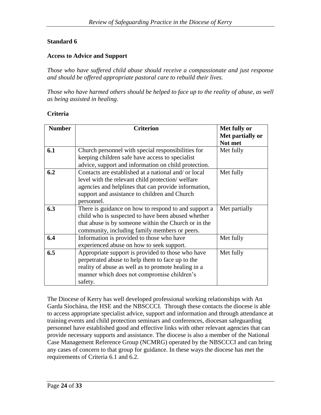#### **Access to Advice and Support**

*Those who have suffered child abuse should receive a compassionate and just response and should be offered appropriate pastoral care to rebuild their lives.*

*Those who have harmed others should be helped to face up to the reality of abuse, as well as being assisted in healing.*

#### **Criteria**

| <b>Number</b> | <b>Criterion</b>                                     | Met fully or     |
|---------------|------------------------------------------------------|------------------|
|               |                                                      | Met partially or |
|               |                                                      | Not met          |
| 6.1           | Church personnel with special responsibilities for   | Met fully        |
|               | keeping children safe have access to specialist      |                  |
|               | advice, support and information on child protection. |                  |
| 6.2           | Contacts are established at a national and/ or local | Met fully        |
|               | level with the relevant child protection/welfare     |                  |
|               | agencies and helplines that can provide information, |                  |
|               | support and assistance to children and Church        |                  |
|               | personnel.                                           |                  |
| 6.3           | There is guidance on how to respond to and support a | Met partially    |
|               | child who is suspected to have been abused whether   |                  |
|               | that abuse is by someone within the Church or in the |                  |
|               | community, including family members or peers.        |                  |
| 6.4           | Information is provided to those who have            | Met fully        |
|               | experienced abuse on how to seek support.            |                  |
| 6.5           | Appropriate support is provided to those who have    | Met fully        |
|               | perpetrated abuse to help them to face up to the     |                  |
|               | reality of abuse as well as to promote healing in a  |                  |
|               | manner which does not compromise children's          |                  |
|               | safety.                                              |                  |
|               |                                                      |                  |

The Diocese of Kerry has well developed professional working relationships with An Garda Síochána, the HSE and the NBSCCCI. Through these contacts the diocese is able to access appropriate specialist advice, support and information and through attendance at training events and child protection seminars and conferences, diocesan safeguarding personnel have established good and effective links with other relevant agencies that can provide necessary supports and assistance. The diocese is also a member of the National Case Management Reference Group (NCMRG) operated by the NBSCCCI and can bring any cases of concern to that group for guidance. In these ways the diocese has met the requirements of Criteria 6.1 and 6.2.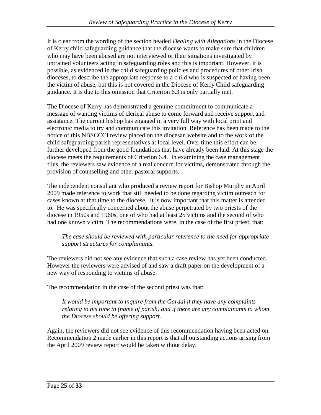It is clear from the wording of the section headed *Dealing with Allegations* in the Diocese of Kerry child safeguarding guidance that the diocese wants to make sure that children who may have been abused are not interviewed or their situations investigated by untrained volunteers acting in safeguarding roles and this is important. However, it is possible, as evidenced in the child safeguarding policies and procedures of other Irish dioceses, to describe the appropriate response to a child who is suspected of having been the victim of abuse, but this is not covered in the Diocese of Kerry Child safeguarding guidance. It is due to this omission that Criterion 6.3 is only partially met.

The Diocese of Kerry has demonstrated a genuine commitment to communicate a message of wanting victims of clerical abuse to come forward and receive support and assistance. The current bishop has engaged in a very full way with local print and electronic media to try and communicate this invitation. Reference has been made to the notice of this NBSCCCI review placed on the diocesan website and to the work of the child safeguarding parish representatives at local level. Over time this effort can be further developed from the good foundations that have already been laid. At this stage the diocese meets the requirements of Criterion 6.4. In examining the case management files, the reviewers saw evidence of a real concern for victims, demonstrated through the provision of counselling and other pastoral supports.

The independent consultant who produced a review report for Bishop Murphy in April 2009 made reference to work that still needed to be done regarding victim outreach for cases known at that time to the diocese. It is now important that this matter is attended to. He was specifically concerned about the abuse perpetrated by two priests of the diocese in 1950s and 1960s, one of who had at least 25 victims and the second of who had one known victim. The recommendations were, in the case of the first priest, that:

#### *The case should be reviewed with particular reference to the need for appropriate support structures for complainants.*

The reviewers did not see any evidence that such a case review has yet been conducted. However the reviewers were advised of and saw a draft paper on the development of a new way of responding to victims of abuse.

The recommendation in the case of the second priest was that:

*It would be important to inquire from the Gardai if they have any complaints relating to his time in (name of parish) and if there are any complainants to whom the Diocese should be offering support.*

Again, the reviewers did not see evidence of this recommendation having been acted on. Recommendation 2 made earlier in this report is that all outstanding actions arising from the April 2009 review report would be taken without delay.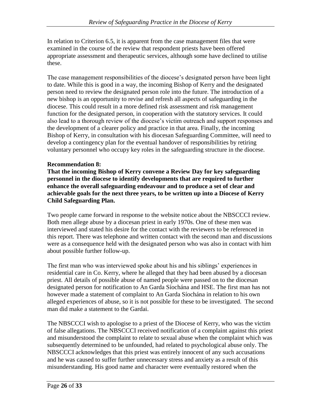In relation to Criterion 6.5, it is apparent from the case management files that were examined in the course of the review that respondent priests have been offered appropriate assessment and therapeutic services, although some have declined to utilise these.

The case management responsibilities of the diocese's designated person have been light to date. While this is good in a way, the incoming Bishop of Kerry and the designated person need to review the designated person role into the future. The introduction of a new bishop is an opportunity to revise and refresh all aspects of safeguarding in the diocese. This could result in a more defined risk assessment and risk management function for the designated person, in cooperation with the statutory services. It could also lead to a thorough review of the diocese's victim outreach and support responses and the development of a clearer policy and practice in that area. Finally, the incoming Bishop of Kerry, in consultation with his diocesan Safeguarding Committee, will need to develop a contingency plan for the eventual handover of responsibilities by retiring voluntary personnel who occupy key roles in the safeguarding structure in the diocese.

#### **Recommendation 8:**

**That the incoming Bishop of Kerry convene a Review Day for key safeguarding personnel in the diocese to identify developments that are required to further enhance the overall safeguarding endeavour and to produce a set of clear and achievable goals for the next three years, to be written up into a Diocese of Kerry Child Safeguarding Plan.**

Two people came forward in response to the website notice about the NBSCCCI review. Both men allege abuse by a diocesan priest in early 1970s. One of these men was interviewed and stated his desire for the contact with the reviewers to be referenced in this report. There was telephone and written contact with the second man and discussions were as a consequence held with the designated person who was also in contact with him about possible further follow-up.

The first man who was interviewed spoke about his and his siblings' experiences in residential care in Co. Kerry, where he alleged that they had been abused by a diocesan priest. All details of possible abuse of named people were passed on to the diocesan designated person for notification to An Garda Síochána and HSE. The first man has not however made a statement of complaint to An Garda Síochána in relation to his own alleged experiences of abuse, so it is not possible for these to be investigated. The second man did make a statement to the Gardai.

The NBSCCCI wish to apologise to a priest of the Diocese of Kerry, who was the victim of false allegations. The NBSCCCI received notification of a complaint against this priest and misunderstood the complaint to relate to sexual abuse when the complaint which was subsequently determined to be unfounded, had related to psychological abuse only. The NBSCCCI acknowledges that this priest was entirely innocent of any such accusations and he was caused to suffer further unnecessary stress and anxiety as a result of this misunderstanding. His good name and character were eventually restored when the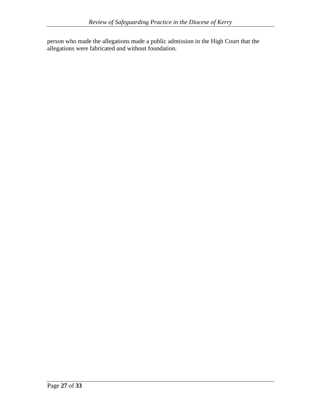person who made the allegations made a public admission in the High Court that the allegations were fabricated and without foundation.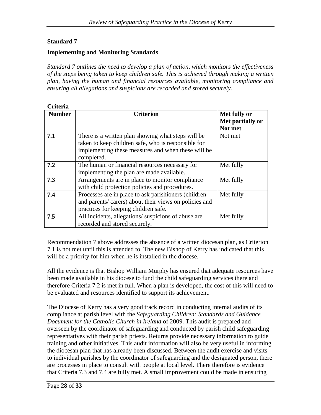#### **Implementing and Monitoring Standards**

*Standard 7 outlines the need to develop a plan of action, which monitors the effectiveness of the steps being taken to keep children safe. This is achieved through making a written plan, having the human and financial resources available, monitoring compliance and ensuring all allegations and suspicions are recorded and stored securely.*

| Criteria      |                                                                                                                                                                               |                                             |
|---------------|-------------------------------------------------------------------------------------------------------------------------------------------------------------------------------|---------------------------------------------|
| <b>Number</b> | <b>Criterion</b>                                                                                                                                                              | Met fully or<br>Met partially or<br>Not met |
| 7.1           | There is a written plan showing what steps will be<br>taken to keep children safe, who is responsible for<br>implementing these measures and when these will be<br>completed. | Not met                                     |
| 7.2           | The human or financial resources necessary for<br>implementing the plan are made available.                                                                                   | Met fully                                   |
| 7.3           | Arrangements are in place to monitor compliance<br>with child protection policies and procedures.                                                                             | Met fully                                   |
| 7.4           | Processes are in place to ask parishioners (children<br>and parents/ carers) about their views on policies and<br>practices for keeping children safe.                        | Met fully                                   |
| 7.5           | All incidents, allegations/suspicions of abuse are<br>recorded and stored securely.                                                                                           | Met fully                                   |

Recommendation 7 above addresses the absence of a written diocesan plan, as Criterion 7.1 is not met until this is attended to. The new Bishop of Kerry has indicated that this will be a priority for him when he is installed in the diocese.

All the evidence is that Bishop William Murphy has ensured that adequate resources have been made available in his diocese to fund the child safeguarding services there and therefore Criteria 7.2 is met in full. When a plan is developed, the cost of this will need to be evaluated and resources identified to support its achievement.

The Diocese of Kerry has a very good track record in conducting internal audits of its compliance at parish level with the *Safeguarding Children: Standards and Guidance Document for the Catholic Church in Ireland* of 2009. This audit is prepared and overseen by the coordinator of safeguarding and conducted by parish child safeguarding representatives with their parish priests. Returns provide necessary information to guide training and other initiatives. This audit information will also be very useful in informing the diocesan plan that has already been discussed. Between the audit exercise and visits to individual parishes by the coordinator of safeguarding and the designated person, there are processes in place to consult with people at local level. There therefore is evidence that Criteria 7.3 and 7.4 are fully met. A small improvement could be made in ensuring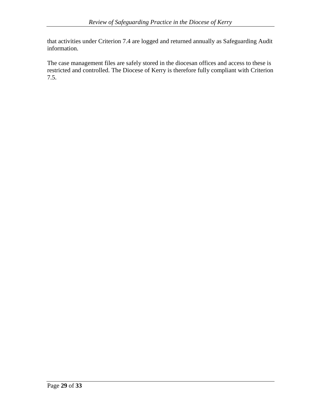that activities under Criterion 7.4 are logged and returned annually as Safeguarding Audit information.

The case management files are safely stored in the diocesan offices and access to these is restricted and controlled. The Diocese of Kerry is therefore fully compliant with Criterion 7.5.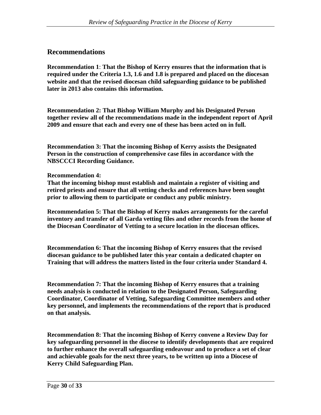## **Recommendations**

**Recommendation 1**: **That the Bishop of Kerry ensures that the information that is required under the Criteria 1.3, 1.6 and 1.8 is prepared and placed on the diocesan website and that the revised diocesan child safeguarding guidance to be published later in 2013 also contains this information.**

**Recommendation 2: That Bishop William Murphy and his Designated Person together review all of the recommendations made in the independent report of April 2009 and ensure that each and every one of these has been acted on in full.**

**Recommendation 3: That the incoming Bishop of Kerry assists the Designated Person in the construction of comprehensive case files in accordance with the NBSCCCI Recording Guidance.**

#### **Recommendation 4:**

**That the incoming bishop must establish and maintain a register of visiting and retired priests and ensure that all vetting checks and references have been sought prior to allowing them to participate or conduct any public ministry.**

**Recommendation 5: That the Bishop of Kerry makes arrangements for the careful inventory and transfer of all Garda vetting files and other records from the home of the Diocesan Coordinator of Vetting to a secure location in the diocesan offices.**

**Recommendation 6: That the incoming Bishop of Kerry ensures that the revised diocesan guidance to be published later this year contain a dedicated chapter on Training that will address the matters listed in the four criteria under Standard 4.**

**Recommendation 7: That the incoming Bishop of Kerry ensures that a training needs analysis is conducted in relation to the Designated Person, Safeguarding Coordinator, Coordinator of Vetting, Safeguarding Committee members and other key personnel, and implements the recommendations of the report that is produced on that analysis.**

**Recommendation 8: That the incoming Bishop of Kerry convene a Review Day for key safeguarding personnel in the diocese to identify developments that are required to further enhance the overall safeguarding endeavour and to produce a set of clear and achievable goals for the next three years, to be written up into a Diocese of Kerry Child Safeguarding Plan.**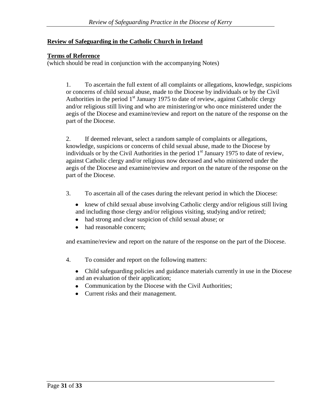## **Review of Safeguarding in the Catholic Church in Ireland**

#### **Terms of Reference**

(which should be read in conjunction with the accompanying Notes)

1. To ascertain the full extent of all complaints or allegations, knowledge, suspicions or concerns of child sexual abuse, made to the Diocese by individuals or by the Civil Authorities in the period  $1<sup>st</sup>$  January 1975 to date of review, against Catholic clergy and/or religious still living and who are ministering/or who once ministered under the aegis of the Diocese and examine/review and report on the nature of the response on the part of the Diocese.

2. If deemed relevant, select a random sample of complaints or allegations, knowledge, suspicions or concerns of child sexual abuse, made to the Diocese by individuals or by the Civil Authorities in the period  $1<sup>st</sup>$  January 1975 to date of review, against Catholic clergy and/or religious now deceased and who ministered under the aegis of the Diocese and examine/review and report on the nature of the response on the part of the Diocese.

- 3. To ascertain all of the cases during the relevant period in which the Diocese:
	- knew of child sexual abuse involving Catholic clergy and/or religious still living and including those clergy and/or religious visiting, studying and/or retired;
	- $\bullet$ had strong and clear suspicion of child sexual abuse; or
	- had reasonable concern;  $\bullet$

and examine/review and report on the nature of the response on the part of the Diocese.

- 4. To consider and report on the following matters:
	- Child safeguarding policies and guidance materials currently in use in the Diocese and an evaluation of their application;
	- Communication by the Diocese with the Civil Authorities;
	- Current risks and their management.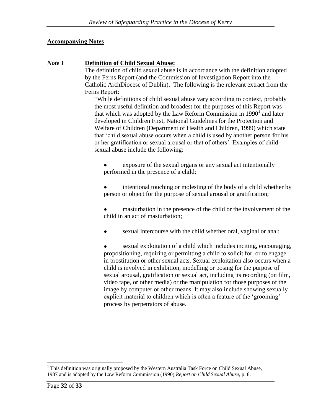## **Accompanying Notes**

#### *Note 1* **Definition of Child Sexual Abuse:**

The definition of child sexual abuse is in accordance with the definition adopted by the Ferns Report (and the Commission of Investigation Report into the Catholic ArchDiocese of Dublin). The following is the relevant extract from the Ferns Report:

"While definitions of child sexual abuse vary according to context, probably the most useful definition and broadest for the purposes of this Report was that which was adopted by the Law Reform Commission in  $1990<sup>1</sup>$  and later developed in Children First, National Guidelines for the Protection and Welfare of Children (Department of Health and Children, 1999) which state that 'child sexual abuse occurs when a child is used by another person for his or her gratification or sexual arousal or that of others'. Examples of child sexual abuse include the following:

exposure of the sexual organs or any sexual act intentionally performed in the presence of a child;

intentional touching or molesting of the body of a child whether by person or object for the purpose of sexual arousal or gratification;

masturbation in the presence of the child or the involvement of the child in an act of masturbation;

sexual intercourse with the child whether oral, vaginal or anal;

sexual exploitation of a child which includes inciting, encouraging, propositioning, requiring or permitting a child to solicit for, or to engage in prostitution or other sexual acts. Sexual exploitation also occurs when a child is involved in exhibition, modelling or posing for the purpose of sexual arousal, gratification or sexual act, including its recording (on film, video tape, or other media) or the manipulation for those purposes of the image by computer or other means. It may also include showing sexually explicit material to children which is often a feature of the 'grooming' process by perpetrators of abuse.

 $\overline{a}$ <sup>1</sup> This definition was originally proposed by the Western Australia Task Force on Child Sexual Abuse, 1987 and is adopted by the Law Reform Commission (1990) *Report on Child Sexual Abuse*, p. 8.